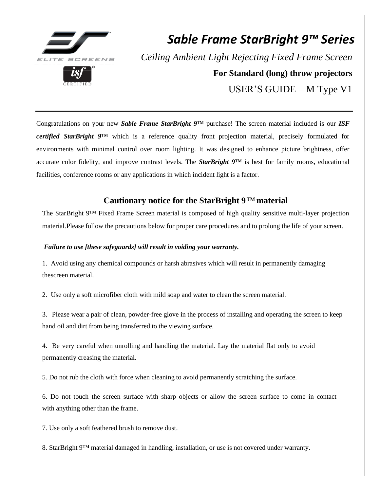

# *Sable Frame StarBright 9™ Series Ceiling Ambient Light Rejecting Fixed Frame Screen* **For Standard (long) throw projectors** USER'S GUIDE – M Type V1

Congratulations on your new *Sable Frame StarBright 9*™ purchase! The screen material included is our *ISF certified StarBright 9*™ which is a reference quality front projection material, precisely formulated for environments with minimal control over room lighting. It was designed to enhance picture brightness, offer accurate color fidelity, and improve contrast levels. The *StarBright 9*™ is best for family rooms, educational facilities, conference rooms or any applications in which incident light is a factor.

# **Cautionary notice for the StarBright 9***™* **material**

The StarBright 9™ Fixed Frame Screen material is composed of high quality sensitive multi-layer projection material.Please follow the precautions below for proper care procedures and to prolong the life of your screen.

#### *Failure to use [these safeguards] will result in voiding your warranty.*

1. Avoid using any chemical compounds or harsh abrasives which will result in permanently damaging thescreen material.

2. Use only a soft microfiber cloth with mild soap and water to clean the screen material.

3. Please wear a pair of clean, powder-free glove in the process of installing and operating the screen to keep hand oil and dirt from being transferred to the viewing surface.

4. Be very careful when unrolling and handling the material. Lay the material flat only to avoid permanently creasing the material.

5. Do not rub the cloth with force when cleaning to avoid permanently scratching the surface.

6. Do not touch the screen surface with sharp objects or allow the screen surface to come in contact with anything other than the frame.

7. Use only a soft feathered brush to remove dust.

8. StarBright 9™ material damaged in handling, installation, or use is not covered under warranty.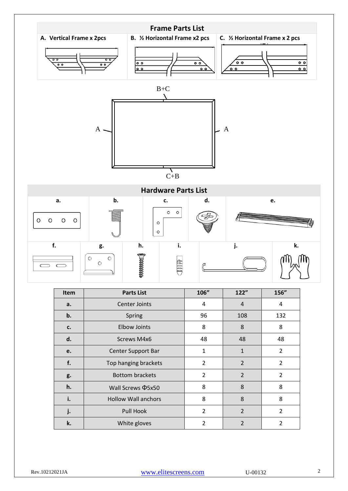

| Item | <b>Parts List</b>          | 106"           | 122"           | 156"           |
|------|----------------------------|----------------|----------------|----------------|
| a.   | Center Joints              | 4              | $\overline{4}$ | 4              |
| b.   | Spring                     | 96             | 108            | 132            |
| c.   | <b>Elbow Joints</b>        | 8              | 8              | 8              |
| d.   | Screws M4x6                | 48             | 48             | 48             |
| e.   | Center Support Bar         | $\mathbf{1}$   | $\mathbf{1}$   | $\overline{2}$ |
| f.   | Top hanging brackets       | $\overline{2}$ | $\overline{2}$ | $\overline{2}$ |
| g.   | <b>Bottom brackets</b>     | $\overline{2}$ | 2              | $\overline{2}$ |
| h.   | Wall Screws <b>Q5x50</b>   | 8              | 8              | 8              |
| i.   | <b>Hollow Wall anchors</b> | 8              | 8              | 8              |
| j.   | Pull Hook                  | 2              | $\overline{2}$ | $\overline{2}$ |
| k.   | White gloves               | $\overline{2}$ | $\overline{2}$ | $\overline{2}$ |

Rev.10212021JA WWW.elitescreens.com U-00132 2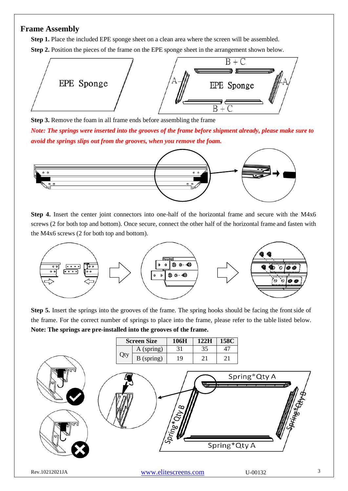### **Frame Assembly**

**Step 1.** Place the included EPE sponge sheet on a clean area where the screen will be assembled. **Step 2.** Position the pieces of the frame on the EPE sponge sheet in the arrangement shown below.



**Step 3.** Remove the foam in all frame ends before assembling the frame

*Note: The springs were inserted into the grooves of the frame before shipment already, please make sure to avoid the springs slips out from the grooves, when you remove the foam.*



**Step 4.** Insert the center joint connectors into one-half of the horizontal frame and secure with the M4x6 screws (2 for both top and bottom). Once secure, connect the other half of the horizontal frame and fasten with the M4x6 screws (2 for both top and bottom).



**Step 5.** Insert the springs into the grooves of the frame. The spring hooks should be facing the front side of the frame. For the correct number of springs to place into the frame, please refer to the table listed below. **Note: The springs are pre-installed into the grooves of the frame.**

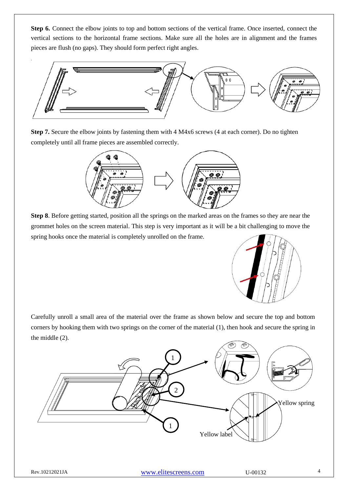**Step 6.** Connect the elbow joints to top and bottom sections of the vertical frame. Once inserted, connect the vertical sections to the horizontal frame sections. Make sure all the holes are in alignment and the frames pieces are flush (no gaps). They should form perfect right angles.



**Step 7.** Secure the elbow joints by fastening them with 4 M4x6 screws (4 at each corner). Do no tighten completely until all frame pieces are assembled correctly.



**Step 8**. Before getting started, position all the springs on the marked areas on the frames so they are near the grommet holes on the screen material. This step is very important as it will be a bit challenging to move the spring hooks once the material is completely unrolled on the frame.



Carefully unroll a small area of the material over the frame as shown below and secure the top and bottom corners by hooking them with two springs on the corner of the material (1), then hook and secure the spring in the middle (2).

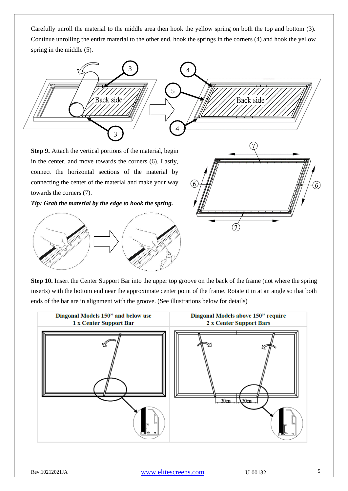Carefully unroll the material to the middle area then hook the yellow spring on both the top and bottom (3). Continue unrolling the entire material to the other end, hook the springs in the corners (4) and hook the yellow spring in the middle  $(5)$ .



**Step 9.** Attach the vertical portions of the material, begin in the center, and move towards the corners (6). Lastly, connect the horizontal sections of the material by connecting the center of the material and make your way towards the corners (7).

*Tip: Grab the material by the edge to hook the spring.*



**Step 10.** Insert the Center Support Bar into the upper top groove on the back of the frame (not where the spring inserts) with the bottom end near the approximate center point of the frame. Rotate it in at an angle so that both ends of the bar are in alignment with the groove. (See illustrations below for details)



Rev.10212021JA WWW.elitescreens.com U-00132 5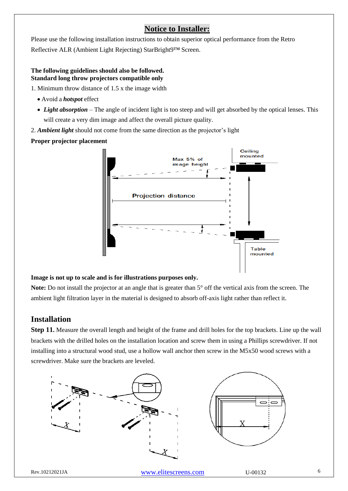# **Notice to Installer:**

Please use the following installation instructions to obtain superior optical performance from the Retro Reflective ALR (Ambient Light Rejecting) StarBright9™ Screen.

#### **The following guidelines should also be followed. Standard long throw projectors compatible only**

1. Minimum throw distance of 1.5 x the image width

- Avoid a *hotspot* effect
- *Light absorption* The angle of incident light is too steep and will get absorbed by the optical lenses. This will create a very dim image and affect the overall picture quality.
- 2. *Ambient light* should not come from the same direction as the projector's light

#### **Proper projector placement**



#### **Image is not up to scale and is for illustrations purposes only.**

**Note:** Do not install the projector at an angle that is greater than 5° off the vertical axis from the screen. The ambient light filtration layer in the material is designed to absorb off-axis light rather than reflect it.

## **Installation**

**Step 11.** Measure the overall length and height of the frame and drill holes for the top brackets. Line up the wall brackets with the drilled holes on the installation location and screw them in using a Phillips screwdriver. If not installing into a structural wood stud, use a hollow wall anchor then screw in the M5x50 wood screws with a screwdriver. Make sure the brackets are leveled.